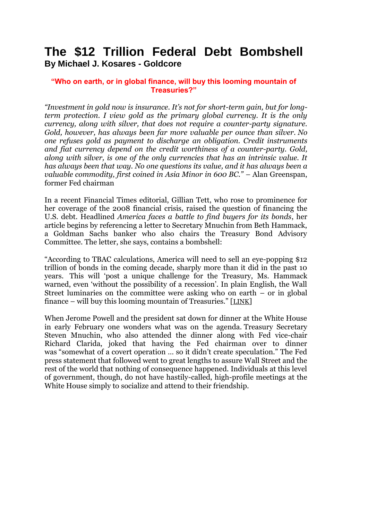## **The \$12 Trillion Federal Debt Bombshell By Michael J. Kosares - Goldcore**

## **"Who on earth, or in global finance, will buy this looming mountain of Treasuries?"**

*"Investment in gold now is insurance. It's not for short-term gain, but for longterm protection. I view gold as the primary global currency. It is the only currency, along with silver, that does not require a counter-party signature. Gold, however, has always been far more valuable per ounce than silver. No one refuses gold as payment to discharge an obligation. Credit instruments and fiat currency depend on the credit worthiness of a counter-party. Gold, along with silver, is one of the only currencies that has an intrinsic value. It has always been that way. No one questions its value, and it has always been a valuable commodity, first coined in Asia Minor in 600 BC." –* Alan Greenspan, former Fed chairman

In a recent Financial Times editorial, Gillian Tett, who rose to prominence for her coverage of the 2008 financial crisis, raised the question of financing the U.S. debt. Headlined *America faces a battle to find buyers for its bonds*, her article begins by referencing a letter to Secretary Mnuchin from Beth Hammack, a Goldman Sachs banker who also chairs the Treasury Bond Advisory Committee. The letter, she says, contains a bombshell:

"According to TBAC calculations, America will need to sell an eye-popping \$12 trillion of bonds in the coming decade, sharply more than it did in the past 10 years. This will "post a unique challenge for the Treasury, Ms. Hammack warned, even 'without the possibility of a recession'. In plain English, the Wall Street luminaries on the committee were asking who on earth – or in global finance – will buy this looming mountain of Treasuries." [[LINK](https://www.ft.com/content/78bc966c-2adf-11e9-a5ab-ff8ef2b976c7)]

When Jerome Powell and the president sat down for dinner at the White House in early February one wonders what was on the agenda. Treasury Secretary Steven Mnuchin, who also attended the dinner along with Fed vice-chair Richard Clarida, joked that having the Fed chairman over to dinner was "somewhat of a covert operation … so it didn"t create speculation." The Fed press statement that followed went to great lengths to assure Wall Street and the rest of the world that nothing of consequence happened. Individuals at this level of government, though, do not have hastily-called, high-profile meetings at the White House simply to socialize and attend to their friendship.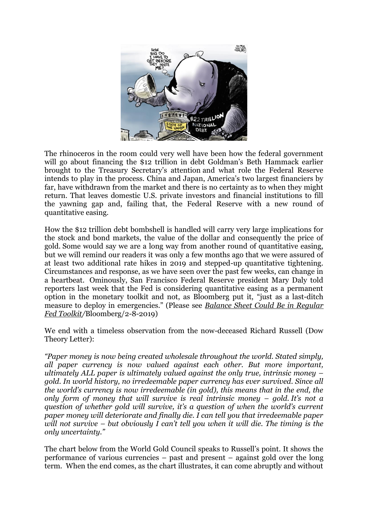

The rhinoceros in the room could very well have been how the federal government will go about financing the \$12 trillion in debt Goldman's Beth Hammack earlier brought to the Treasury Secretary"s attention and what role the Federal Reserve intends to play in the process. China and Japan, America"s two largest financiers by far, have withdrawn from the market and there is no certainty as to when they might return. That leaves domestic U.S. private investors and financial institutions to fill the yawning gap and, failing that, the Federal Reserve with a new round of quantitative easing.

How the \$12 trillion debt bombshell is handled will carry very large implications for the stock and bond markets, the value of the dollar and consequently the price of gold. Some would say we are a long way from another round of quantitative easing, but we will remind our readers it was only a few months ago that we were assured of at least two additional rate hikes in 2019 and stepped-up quantitative tightening. Circumstances and response, as we have seen over the past few weeks, can change in a heartbeat. Ominously, San Francisco Federal Reserve president Mary Daly told reporters last week that the Fed is considering quantitative easing as a permanent option in the monetary toolkit and not, as Bloomberg put it, "just as a last-ditch measure to deploy in emergencies." (Please see *[Balance Sheet Could Be in Regular](https://www.bloomberg.com/news/articles/2019-02-08/balance-sheet-could-be-in-fed-s-regular-toolkit-daly-suggests)  [Fed Toolkit/](https://www.bloomberg.com/news/articles/2019-02-08/balance-sheet-could-be-in-fed-s-regular-toolkit-daly-suggests)*Bloomberg/2-8-2019)

We end with a timeless observation from the now-deceased Richard Russell (Dow Theory Letter):

*"Paper money is now being created wholesale throughout the world. Stated simply, all paper currency is now valued against each other. But more important, ultimately ALL paper is ultimately valued against the only true, intrinsic money – gold. In world history, no irredeemable paper currency has ever survived. Since all the world's currency is now irredeemable (in gold), this means that in the end, the only form of money that will survive is real intrinsic money – gold. It's not a question of whether gold will survive, it's a question of when the world's current paper money will deteriorate and finally die. I can tell you that irredeemable paper will not survive – but obviously I can't tell you when it will die. The timing is the only uncertainty."*

The chart below from the World Gold Council speaks to Russell"s point. It shows the performance of various currencies – past and present – against gold over the long term. When the end comes, as the chart illustrates, it can come abruptly and without